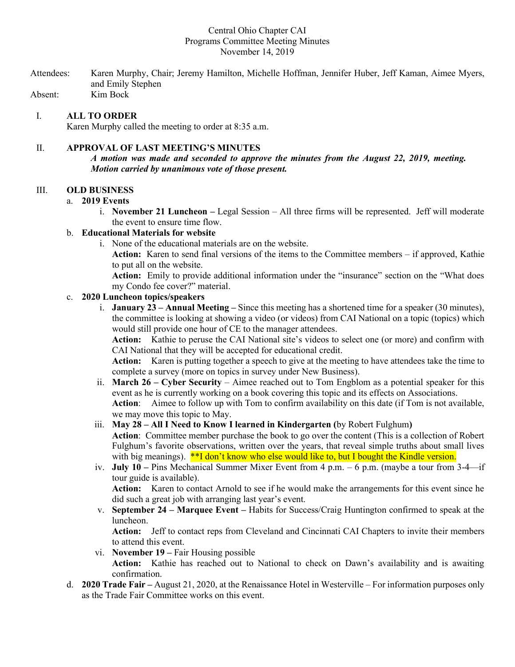## Central Ohio Chapter CAI Programs Committee Meeting Minutes November 14, 2019

Attendees: Karen Murphy, Chair; Jeremy Hamilton, Michelle Hoffman, Jennifer Huber, Jeff Kaman, Aimee Myers, and Emily Stephen Absent: Kim Bock

I. **ALL TO ORDER**

Karen Murphy called the meeting to order at 8:35 a.m.

## II. **APPROVAL OF LAST MEETING'S MINUTES**

*A motion was made and seconded to approve the minutes from the August 22, 2019, meeting. Motion carried by unanimous vote of those present.*

### III. **OLD BUSINESS**

### a. **2019 Events**

i. **November 21 Luncheon –** Legal Session – All three firms will be represented. Jeff will moderate the event to ensure time flow.

# b. **Educational Materials for website**

i. None of the educational materials are on the website. **Action:** Karen to send final versions of the items to the Committee members – if approved, Kathie to put all on the website.

**Action:** Emily to provide additional information under the "insurance" section on the "What does my Condo fee cover?" material.

## c. **2020 Luncheon topics/speakers**

i. **January 23 – Annual Meeting –** Since this meeting has a shortened time for a speaker (30 minutes), the committee is looking at showing a video (or videos) from CAI National on a topic (topics) which would still provide one hour of CE to the manager attendees.

**Action:** Kathie to peruse the CAI National site's videos to select one (or more) and confirm with CAI National that they will be accepted for educational credit.

**Action:** Karen is putting together a speech to give at the meeting to have attendees take the time to complete a survey (more on topics in survey under New Business).

ii. **March 26 – Cyber Security** – Aimee reached out to Tom Engblom as a potential speaker for this event as he is currently working on a book covering this topic and its effects on Associations. **Action**: Aimee to follow up with Tom to confirm availability on this date (if Tom is not available, we may move this topic to May.

## iii. **May 28 – All I Need to Know I learned in Kindergarten (**by Robert Fulghum**)**

**Action**: Committee member purchase the book to go over the content (This is a collection of Robert Fulghum's favorite observations, written over the years, that reveal simple truths about small lives with big meanings).  $**I$  don't know who else would like to, but I bought the Kindle version.

iv. **July 10 –** Pins Mechanical Summer Mixer Event from 4 p.m. – 6 p.m. (maybe a tour from 3-4—if tour guide is available). **Action:** Karen to contact Arnold to see if he would make the arrangements for this event since he

did such a great job with arranging last year's event.

v. **September 24 – Marquee Event –** Habits for Success/Craig Huntington confirmed to speak at the luncheon.

**Action:** Jeff to contact reps from Cleveland and Cincinnati CAI Chapters to invite their members to attend this event.

- vi. **November 19 –** Fair Housing possible **Action:** Kathie has reached out to National to check on Dawn's availability and is awaiting confirmation.
- d. **2020 Trade Fair –** August 21, 2020, at the Renaissance Hotel in Westerville For information purposes only as the Trade Fair Committee works on this event.